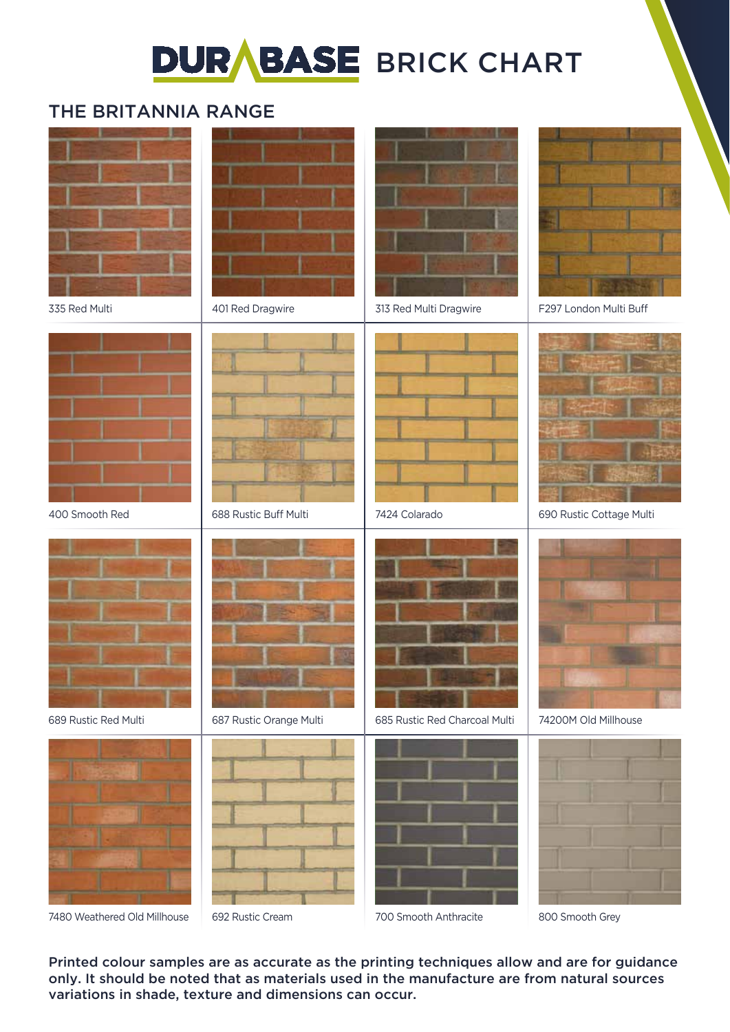# **DURABASE BRICK CHART**

## THE BRITANNIA RANGE



Printed colour samples are as accurate as the printing techniques allow and are for guidance only. It should be noted that as materials used in the manufacture are from natural sources variations in shade, texture and dimensions can occur.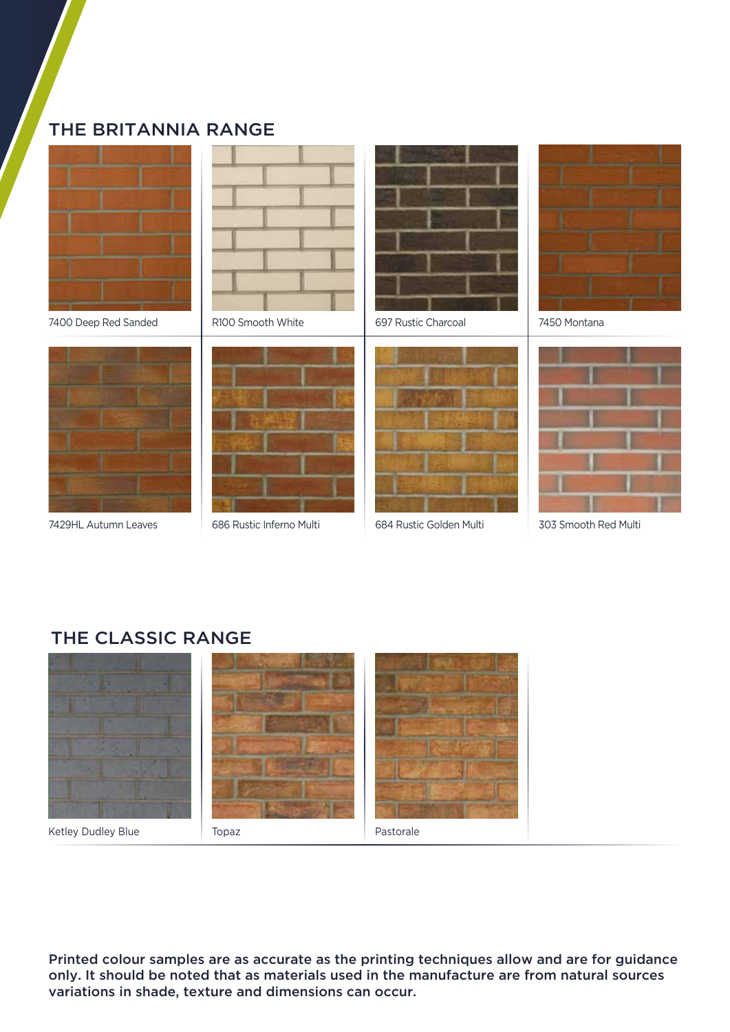### THE BRITANNIA RANGE









686 Rustic Inferno Multi





7429HL Autumn Leaves | 686 Rustic Inferno Multi | 684 Rustic Golden Multi | 303 Smooth Red Multi



7450 Montana



#### THE CLASSIC RANGE



Printed colour samples are as accurate as the printing techniques allow and are for guidance only. It should be noted that as materials used in the manufacture are from natural sources variations in shade, texture and dimensions can occur.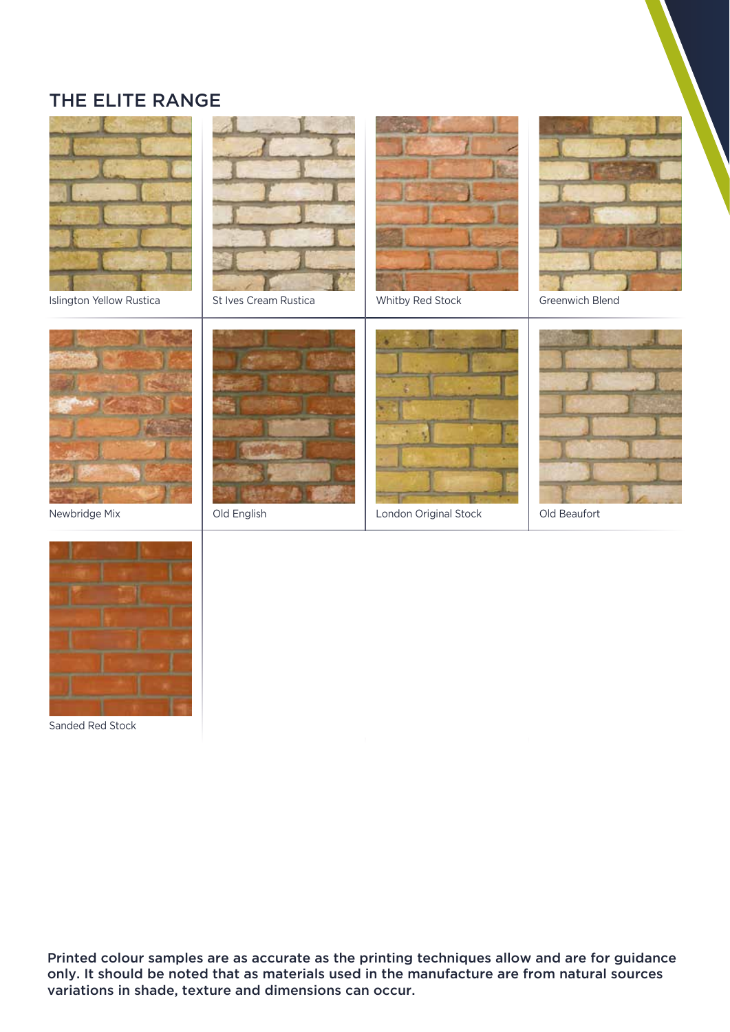### THE ELITE RANGE



Islington Yellow Rustica | St Ives Cream Rustica | Whitby Red Stock | Greenwich Blend

















Sanded Red Stock

Printed colour samples are as accurate as the printing techniques allow and are for guidance only. It should be noted that as materials used in the manufacture are from natural sources variations in shade, texture and dimensions can occur.